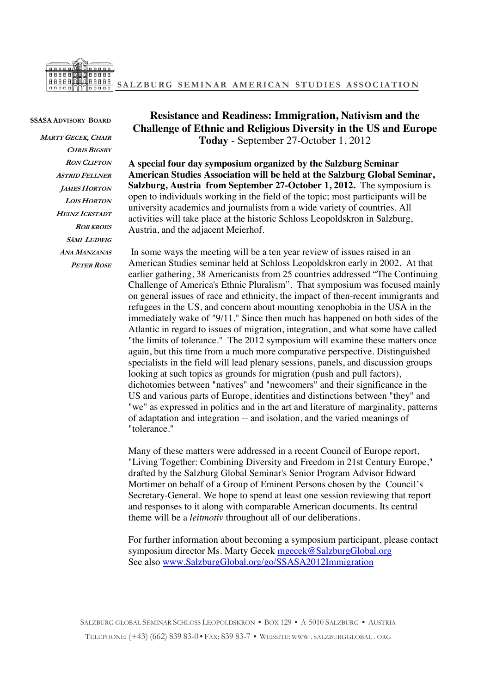

## **SSASA ADVISORY BOARD**

**MARTY GECEK, CHAIR CHRIS BIGSBY RON CLIFTON ASTRID FELLNER JAMES HORTON LOIS HORTON HEINZ ICKSTADT ROB KROES SÄMI LUDWIG ANA MANZANAS PETER ROSE**

## **Resistance and Readiness: Immigration, Nativism and the Challenge of Ethnic and Religious Diversity in the US and Europe Today** - September 27-October 1, 2012

**A special four day symposium organized by the Salzburg Seminar American Studies Association will be held at the Salzburg Global Seminar, Salzburg, Austria from September 27-October 1, 2012.** The symposium is open to individuals working in the field of the topic; most participants will be university academics and journalists from a wide variety of countries. All activities will take place at the historic Schloss Leopoldskron in Salzburg, Austria, and the adjacent Meierhof.

 In some ways the meeting will be a ten year review of issues raised in an American Studies seminar held at Schloss Leopoldskron early in 2002. At that earlier gathering, 38 Americanists from 25 countries addressed "The Continuing Challenge of America's Ethnic Pluralism". That symposium was focused mainly on general issues of race and ethnicity, the impact of then-recent immigrants and refugees in the US, and concern about mounting xenophobia in the USA in the immediately wake of "9/11." Since then much has happened on both sides of the Atlantic in regard to issues of migration, integration, and what some have called "the limits of tolerance." The 2012 symposium will examine these matters once again, but this time from a much more comparative perspective. Distinguished specialists in the field will lead plenary sessions, panels, and discussion groups looking at such topics as grounds for migration (push and pull factors), dichotomies between "natives" and "newcomers" and their significance in the US and various parts of Europe, identities and distinctions between "they" and "we" as expressed in politics and in the art and literature of marginality, patterns of adaptation and integration -- and isolation, and the varied meanings of "tolerance."

Many of these matters were addressed in a recent Council of Europe report, "Living Together: Combining Diversity and Freedom in 21st Century Europe," drafted by the Salzburg Global Seminar's Senior Program Advisor Edward Mortimer on behalf of a Group of Eminent Persons chosen by the Council's Secretary-General. We hope to spend at least one session reviewing that report and responses to it along with comparable American documents. Its central theme will be a *leitmotiv* throughout all of our deliberations.

For further information about becoming a symposium participant, please contact symposium director Ms. Marty Gecek mgecek@SalzburgGlobal.org See also www.SalzburgGlobal.org/go/SSASA2012Immigration